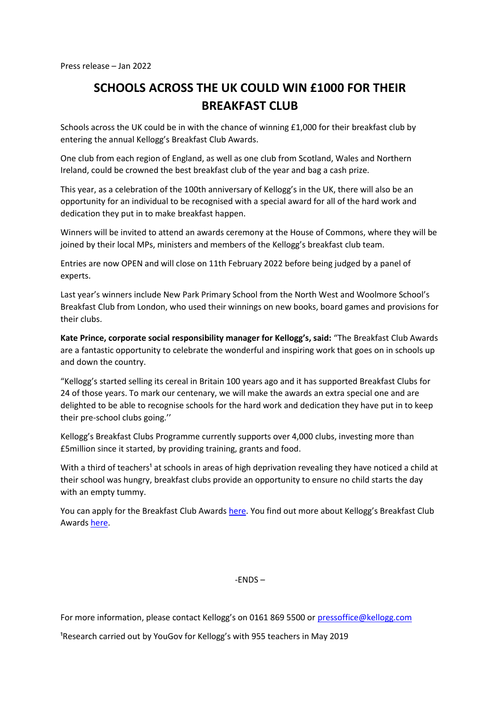## **SCHOOLS ACROSS THE UK COULD WIN £1000 FOR THEIR BREAKFAST CLUB**

Schools across the UK could be in with the chance of winning £1,000 for their breakfast club by entering the annual Kellogg's Breakfast Club Awards.

One club from each region of England, as well as one club from Scotland, Wales and Northern Ireland, could be crowned the best breakfast club of the year and bag a cash prize.

This year, as a celebration of the 100th anniversary of Kellogg's in the UK, there will also be an opportunity for an individual to be recognised with a special award for all of the hard work and dedication they put in to make breakfast happen.

Winners will be invited to attend an awards ceremony at the House of Commons, where they will be joined by their local MPs, ministers and members of the Kellogg's breakfast club team.

Entries are now OPEN and will close on 11th February 2022 before being judged by a panel of experts.

Last year's winners include New Park Primary School from the North West and Woolmore School's Breakfast Club from London, who used their winnings on new books, board games and provisions for their clubs.

**Kate Prince, corporate social responsibility manager for Kellogg's, said:** "The Breakfast Club Awards are a fantastic opportunity to celebrate the wonderful and inspiring work that goes on in schools up and down the country.

"Kellogg's started selling its cereal in Britain 100 years ago and it has supported Breakfast Clubs for 24 of those years. To mark our centenary, we will make the awards an extra special one and are delighted to be able to recognise schools for the hard work and dedication they have put in to keep their pre-school clubs going.''

Kellogg's Breakfast Clubs Programme currently supports over 4,000 clubs, investing more than £5million since it started, by providing training, grants and food.

With a third of teachers<sup>1</sup> at schools in areas of high deprivation revealing they have noticed a child at their school was hungry, breakfast clubs provide an opportunity to ensure no child starts the day with an empty tummy.

You can apply for the Breakfast Club Award[s here](https://r1.dotdigital-pages.com/p/25N2-UGX/kelloggs-breakfast-club-awards-2021-22). You find out more about Kellogg's Breakfast Club Awards [here.](http://www.breakfastclubawards.co.uk/)

-ENDS –

For more information, please contact Kellogg's on 0161 869 5500 or [pressoffice@kellogg.com](mailto:pressoffice@kellogg.com)

<sup>1</sup>Research carried out by YouGov for Kellogg's with 955 teachers in May 2019